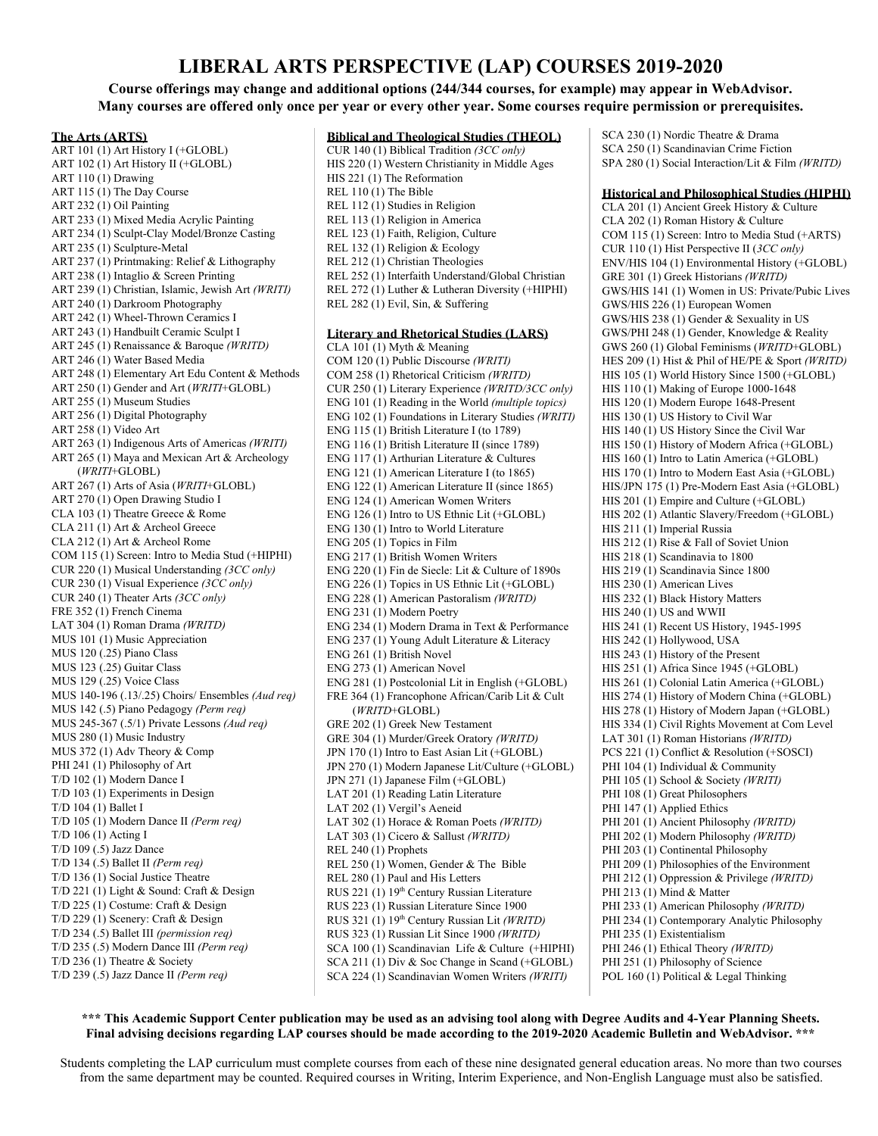# **LIBERAL ARTS PERSPECTIVE (LAP) COURSES 2019-2020**

**Course offerings may change and additional options (244/344 courses, for example) may appear in WebAdvisor.** Many courses are offered only once per year or every other year. Some courses require permission or prerequisites.

#### **The Arts (ARTS)**

ART 101 (1) Art History I (+GLOBL) ART 102 (1) Art History II (+GLOBL) ART 110 (1) Drawing ART 115 (1) The Day Course ART 232 (1) Oil Painting ART 233 (1) Mixed Media Acrylic Painting ART 234 (1) Sculpt-Clay Model/Bronze Casting ART 235 (1) Sculpture-Metal ART 237 (1) Printmaking: Relief & Lithography ART 238 (1) Intaglio & Screen Printing ART 239 (1) Christian, Islamic, Jewish Art *(WRITI)* ART 240 (1) Darkroom Photography ART 242 (1) Wheel-Thrown Ceramics I ART 243 (1) Handbuilt Ceramic Sculpt I ART 245 (1) Renaissance & Baroque *(WRITD)* ART 246 (1) Water Based Media ART 248 (1) Elementary Art Edu Content & Methods ART 250 (1) Gender and Art (*WRITI*+GLOBL) ART 255 (1) Museum Studies ART 256 (1) Digital Photography ART 258 (1) Video Art ART 263 (1) Indigenous Arts of Americas *(WRITI)* ART 265 (1) Maya and Mexican Art & Archeology (*WRITI*+GLOBL) ART 267 (1) Arts of Asia (*WRITI*+GLOBL) ART 270 (1) Open Drawing Studio I CLA 103 (1) Theatre Greece & Rome CLA 211 (1) Art & Archeol Greece CLA 212 (1) Art & Archeol Rome COM 115 (1) Screen: Intro to Media Stud (+HIPHI) CUR 220 (1) Musical Understanding *(3CC only)* CUR 230 (1) Visual Experience *(3CC only)* CUR 240 (1) Theater Arts *(3CC only)* FRE 352 (1) French Cinema LAT 304 (1) Roman Drama *(WRITD)* MUS 101 (1) Music Appreciation MUS 120 (.25) Piano Class MUS 123 (.25) Guitar Class MUS 129 (.25) Voice Class MUS 140-196 (.13/.25) Choirs/ Ensembles *(Aud req)* MUS 142 (.5) Piano Pedagogy *(Perm req)* MUS 245-367 (.5/1) Private Lessons *(Aud req)* MUS 280 (1) Music Industry MUS 372 (1) Adv Theory & Comp PHI 241 (1) Philosophy of Art T/D 102 (1) Modern Dance I T/D 103 (1) Experiments in Design T/D 104 (1) Ballet I T/D 105 (1) Modern Dance II *(Perm req)* T/D 106 (1) Acting I T/D 109 (.5) Jazz Dance T/D 134 (.5) Ballet II *(Perm req)* T/D 136 (1) Social Justice Theatre T/D 221 (1) Light & Sound: Craft & Design T/D 225 (1) Costume: Craft & Design T/D 229 (1) Scenery: Craft & Design T/D 234 (.5) Ballet III *(permission req)* T/D 235 (.5) Modern Dance III *(Perm req)* T/D 236 (1) Theatre & Society T/D 239 (.5) Jazz Dance II *(Perm req)*

### **Biblical and Theological Studies (THEOL)** CUR 140 (1) Biblical Tradition *(3CC only)* HIS 220 (1) Western Christianity in Middle Ages HIS 221 (1) The Reformation REL 110 (1) The Bible REL 112 (1) Studies in Religion REL 113 (1) Religion in America REL 123 (1) Faith, Religion, Culture REL 132 (1) Religion & Ecology REL 212 (1) Christian Theologies REL 252 (1) Interfaith Understand/Global Christian REL 272 (1) Luther & Lutheran Diversity (+HIPHI) REL 282 (1) Evil, Sin, & Suffering **Literary and Rhetorical Studies (LARS)** CLA 101 (1) Myth & Meaning COM 120 (1) Public Discourse *(WRITI)* COM 258 (1) Rhetorical Criticism *(WRITD)* CUR 250 (1) Literary Experience *(WRITD/3CC only)* ENG 101 (1) Reading in the World *(multiple topics)* ENG 102 (1) Foundations in Literary Studies *(WRITI)* ENG 115 (1) British Literature I (to 1789) ENG 116 (1) British Literature II (since 1789) ENG 117 (1) Arthurian Literature & Cultures ENG 121 (1) American Literature I (to 1865) ENG 122 (1) American Literature II (since 1865) ENG 124 (1) American Women Writers ENG 126 (1) Intro to US Ethnic Lit (+GLOBL) ENG 130 (1) Intro to World Literature ENG 205 (1) Topics in Film ENG 217 (1) British Women Writers ENG 220 (1) Fin de Siecle: Lit & Culture of 1890s ENG 226 (1) Topics in US Ethnic Lit (+GLOBL) ENG 228 (1) American Pastoralism *(WRITD)* ENG 231 (1) Modern Poetry ENG 234 (1) Modern Drama in Text & Performance ENG 237 (1) Young Adult Literature & Literacy ENG 261 (1) British Novel ENG 273 (1) American Novel ENG 281 (1) Postcolonial Lit in English (+GLOBL) FRE 364 (1) Francophone African/Carib Lit & Cult (*WRITD*+GLOBL) GRE 202 (1) Greek New Testament GRE 304 (1) Murder/Greek Oratory *(WRITD)* JPN 170 (1) Intro to East Asian Lit (+GLOBL) JPN 270 (1) Modern Japanese Lit/Culture (+GLOBL) JPN 271 (1) Japanese Film (+GLOBL) LAT 201 (1) Reading Latin Literature LAT 202 (1) Vergil's Aeneid LAT 302 (1) Horace & Roman Poets *(WRITD)* LAT 303 (1) Cicero & Sallust *(WRITD)* REL 240 (1) Prophets REL 250 (1) Women, Gender & The Bible REL 280 (1) Paul and His Letters RUS 221 (1) 19<sup>th</sup> Century Russian Literature RUS 223 (1) Russian Literature Since 1900 RUS 321 (1) 19 th Century Russian Lit *(WRITD)* RUS 323 (1) Russian Lit Since 1900 *(WRITD)* SCA 100 (1) Scandinavian Life & Culture (+HIPHI) SCA 211 (1) Div & Soc Change in Scand (+GLOBL) SCA 224 (1) Scandinavian Women Writers *(WRITI)*

SCA 230 (1) Nordic Theatre & Drama SCA 250 (1) Scandinavian Crime Fiction SPA 280 (1) Social Interaction/Lit & Film *(WRITD)*

### **Historical and Philosophical Studies (HIPHI)**

CLA 201 (1) Ancient Greek History & Culture CLA 202 (1) Roman History & Culture COM 115 (1) Screen: Intro to Media Stud (+ARTS) CUR 110 (1) Hist Perspective II (*3CC only)* ENV/HIS 104 (1) Environmental History (+GLOBL) GRE 301 (1) Greek Historians *(WRITD)* GWS/HIS 141 (1) Women in US: Private/Pubic Lives GWS/HIS 226 (1) European Women GWS/HIS 238 (1) Gender & Sexuality in US GWS/PHI 248 (1) Gender, Knowledge & Reality GWS 260 (1) Global Feminisms (*WRITD*+GLOBL) HES 209 (1) Hist & Phil of HE/PE & Sport *(WRITD)* HIS 105 (1) World History Since 1500 (+GLOBL) HIS 110 (1) Making of Europe 1000-1648 HIS 120 (1) Modern Europe 1648-Present HIS 130 (1) US History to Civil War HIS 140 (1) US History Since the Civil War HIS 150 (1) History of Modern Africa (+GLOBL) HIS 160 (1) Intro to Latin America (+GLOBL) HIS 170 (1) Intro to Modern East Asia (+GLOBL) HIS/JPN 175 (1) Pre-Modern East Asia (+GLOBL) HIS 201 (1) Empire and Culture (+GLOBL) HIS 202 (1) Atlantic Slavery/Freedom (+GLOBL) HIS 211 (1) Imperial Russia HIS 212 (1) Rise & Fall of Soviet Union HIS 218 (1) Scandinavia to 1800 HIS 219 (1) Scandinavia Since 1800 HIS 230 (1) American Lives HIS 232 (1) Black History Matters HIS 240 (1) US and WWII HIS 241 (1) Recent US History, 1945-1995 HIS 242 (1) Hollywood, USA HIS 243 (1) History of the Present HIS 251 (1) Africa Since 1945 (+GLOBL) HIS 261 (1) Colonial Latin America (+GLOBL) HIS 274 (1) History of Modern China (+GLOBL) HIS 278 (1) History of Modern Japan (+GLOBL) HIS 334 (1) Civil Rights Movement at Com Level LAT 301 (1) Roman Historians *(WRITD)* PCS 221 (1) Conflict & Resolution (+SOSCI) PHI 104 (1) Individual & Community PHI 105 (1) School & Society *(WRITI)* PHI 108 (1) Great Philosophers PHI 147 (1) Applied Ethics PHI 201 (1) Ancient Philosophy *(WRITD)* PHI 202 (1) Modern Philosophy *(WRITD)* PHI 203 (1) Continental Philosophy PHI 209 (1) Philosophies of the Environment PHI 212 (1) Oppression & Privilege *(WRITD)* PHI 213 (1) Mind & Matter PHI 233 (1) American Philosophy *(WRITD)* PHI 234 (1) Contemporary Analytic Philosophy PHI 235 (1) Existentialism PHI 246 (1) Ethical Theory *(WRITD)* PHI 251 (1) Philosophy of Science POL 160 (1) Political & Legal Thinking

### **\*\*\* This Academic Support Center publication may be used as an advising tool along with Degree Audits and 4-Year Planning Sheets. Final advising decisions regarding LAP courses should be made according to the 2019-2020 Academic Bulletin and WebAdvisor. \*\*\***

Students completing the LAP curriculum must complete courses from each of these nine designated general education areas. No more than two courses from the same department may be counted. Required courses in Writing, Interim Experience, and Non-English Language must also be satisfied.